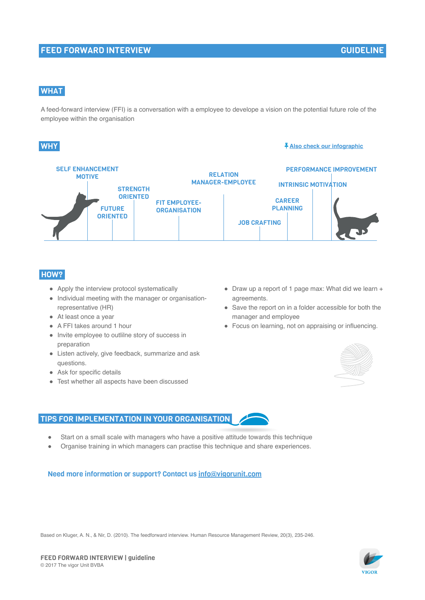### FEED FORWARD INTERVIEW

# **WHAT**

A feed-forward interview (FFI) is a conversation with a employee to develope a vision on the potential future role of the employee within the organisation

### **WHY**

#### **Also check our infographic**



### HOW?

- Apply the interview protocol systematically
- Individual meeting with the manager or organisationrepresentative (HR)
- At least once a year
- A FFI takes around 1 hour
- Invite employee to outlilne story of success in preparation
- Listen actively, give feedback, summarize and ask questions.
- Ask for specific details
- Test whether all aspects have been discussed
- Draw up a report of 1 page max: What did we learn + agreements.
- Save the report on in a folder accessible for both the manager and employee
- Focus on learning, not on appraising or influencing.



#### TIPS FOR IMPLEMENTATION IN YOUR ORGANISATION

- Start on a small scale with managers who have a positive attitude towards this technique
- Organise training in which managers can practise this technique and share experiences.

## Need more information or support? Contact us info@vigorunit.com

Based on Kluger, A. N., & Nir, D. (2010). The feedforward interview. Human Resource Management Review, 20(3), 235-246.